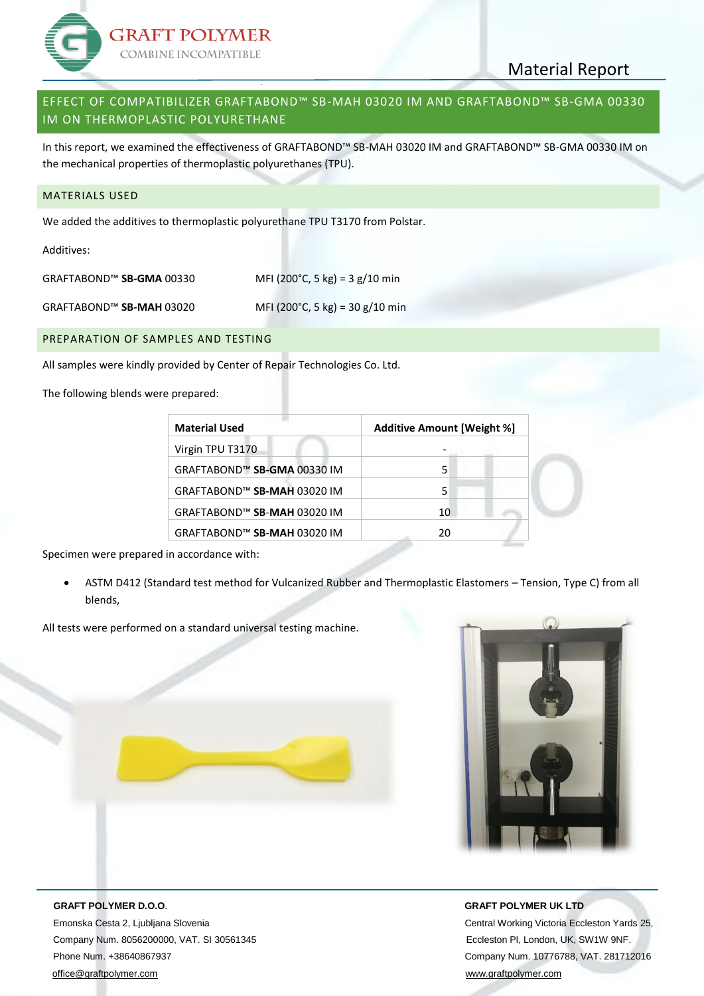

# Material Report

## EFFECT OF COMPATIBILIZER GRAFTABOND™ SB-MAH 03020 IM AND GRAFTABOND™ SB-GMA 00330 IM ON THERMOPLASTIC POLYURETHANE

In this report, we examined the effectiveness of GRAFTABOND™ SB-MAH 03020 IM and GRAFTABOND™ SB-GMA 00330 IM on the mechanical properties of thermoplastic polyurethanes (TPU).

### MATERIALS USED

We added the additives to thermoplastic polyurethane TPU T3170 from Polstar.

Additives:

| GRAFTABOND™ SB-GMA 00330 | MFI (200°C, 5 kg) = 3 g/10 min |
|--------------------------|--------------------------------|
|--------------------------|--------------------------------|

GRAFTABOND™ **SB-MAH** 03020 MFI (200°C, 5 kg) = 30 g/10 min

#### PREPARATION OF SAMPLES AND TESTING

All samples were kindly provided by Center of Repair Technologies Co. Ltd.

The following blends were prepared:

| <b>Material Used</b>        | <b>Additive Amount [Weight %]</b> |  |  |
|-----------------------------|-----------------------------------|--|--|
| Virgin TPU T3170            |                                   |  |  |
| GRAFTABOND™ SB-GMA 00330 IM | 5                                 |  |  |
| GRAFTABOND™ SB-MAH 03020 IM | 5                                 |  |  |
| GRAFTABOND™ SB-MAH 03020 IM | 10                                |  |  |
| GRAFTABOND™ SB-MAH 03020 IM | 20                                |  |  |

Specimen were prepared in accordance with:

 ASTM D412 (Standard test method for Vulcanized Rubber and Thermoplastic Elastomers – Tension, Type C) from all blends,

All tests were performed on a standard universal testing machine.



 **GRAFT POLYMER D.O.O**. **GRAFT POLYMER UK LTD** Emonska Cesta 2, Ljubljana Slovenia Central Working Victoria Eccleston Yards 25, Company Num. 8056200000, VAT. SI 30561345 Eccleston Pl, London, UK, SW1W 9NF. Phone Num. +38640867937 Company Num. 10776788, VAT. 281712016 [office@graftpolymer.com](mailto:office@graftpolymer.com) [www.graftpolymer.com](http://www.graftpolymer.com/)